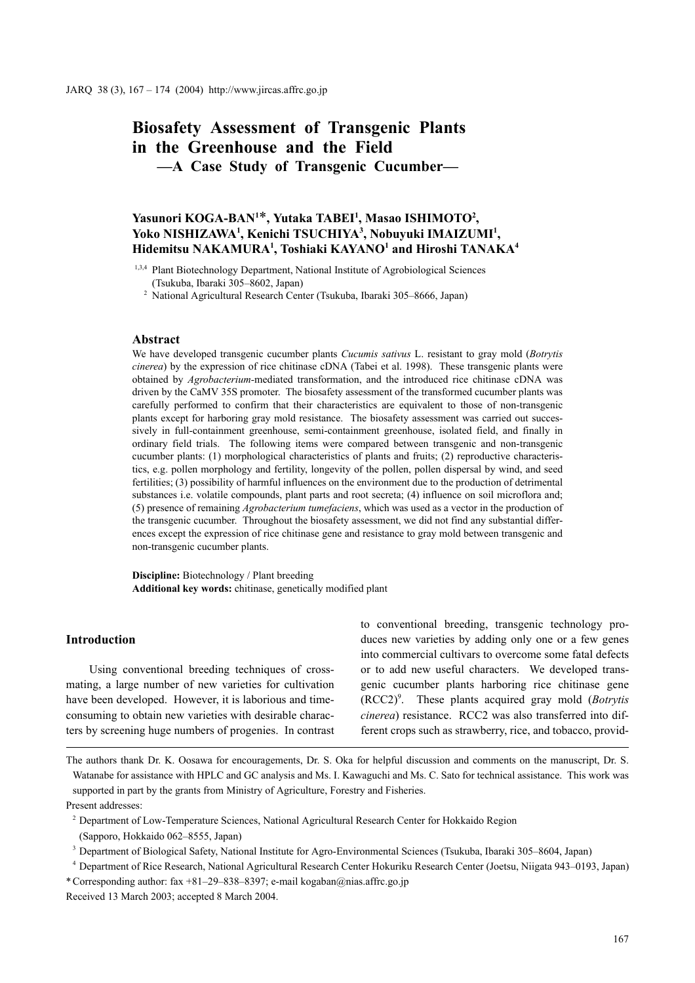# **Biosafety Assessment of Transgenic Plants in the Greenhouse and the Field —A Case Study of Transgenic Cucumber—**

# **Yasunori KOGA-BAN1** \***, Yutaka TABEI1 , Masao ISHIMOTO2 , Yoko NISHIZAWA1 , Kenichi TSUCHIYA3 , Nobuyuki IMAIZUMI1 , Hidemitsu NAKAMURA1 , Toshiaki KAYANO1 and Hiroshi TANAKA4**

<sup>1,3,4</sup> Plant Biotechnology Department, National Institute of Agrobiological Sciences (Tsukuba, Ibaraki 305–8602, Japan)

<sup>2</sup> National Agricultural Research Center (Tsukuba, Ibaraki 305–8666, Japan)

# **Abstract**

We have developed transgenic cucumber plants *Cucumis sativus* L. resistant to gray mold (*Botrytis cinerea*) by the expression of rice chitinase cDNA (Tabei et al. 1998). These transgenic plants were obtained by *Agrobacterium-*mediated transformation, and the introduced rice chitinase cDNA was driven by the CaMV 35S promoter. The biosafety assessment of the transformed cucumber plants was carefully performed to confirm that their characteristics are equivalent to those of non-transgenic plants except for harboring gray mold resistance. The biosafety assessment was carried out successively in full-containment greenhouse, semi-containment greenhouse, isolated field, and finally in ordinary field trials. The following items were compared between transgenic and non-transgenic cucumber plants: (1) morphological characteristics of plants and fruits; (2) reproductive characteristics, e.g. pollen morphology and fertility, longevity of the pollen, pollen dispersal by wind, and seed fertilities; (3) possibility of harmful influences on the environment due to the production of detrimental substances i.e. volatile compounds, plant parts and root secreta; (4) influence on soil microflora and; (5) presence of remaining *Agrobacterium tumefaciens*, which was used as a vector in the production of the transgenic cucumber. Throughout the biosafety assessment, we did not find any substantial differences except the expression of rice chitinase gene and resistance to gray mold between transgenic and non-transgenic cucumber plants.

**Discipline:** Biotechnology / Plant breeding **Additional key words:** chitinase, genetically modified plant

## **Introduction**

Using conventional breeding techniques of crossmating, a large number of new varieties for cultivation have been developed. However, it is laborious and timeconsuming to obtain new varieties with desirable characters by screening huge numbers of progenies. In contrast to conventional breeding, transgenic technology produces new varieties by adding only one or a few genes into commercial cultivars to overcome some fatal defects or to add new useful characters. We developed transgenic cucumber plants harboring rice chitinase gene (RCC2)9 . These plants acquired gray mold (*Botrytis cinerea*) resistance. RCC2 was also transferred into different crops such as strawberry, rice, and tobacco, provid-

The authors thank Dr. K. Oosawa for encouragements, Dr. S. Oka for helpful discussion and comments on the manuscript, Dr. S. Watanabe for assistance with HPLC and GC analysis and Ms. I. Kawaguchi and Ms. C. Sato for technical assistance. This work was supported in part by the grants from Ministry of Agriculture, Forestry and Fisheries. Present addresses:

<sup>2</sup> Department of Low-Temperature Sciences, National Agricultural Research Center for Hokkaido Region

(Sapporo, Hokkaido 062–8555, Japan)

<sup>3</sup> Department of Biological Safety, National Institute for Agro-Environmental Sciences (Tsukuba, Ibaraki 305–8604, Japan)

<sup>4</sup> Department of Rice Research, National Agricultural Research Center Hokuriku Research Center (Joetsu, Niigata 943–0193, Japan) \* Corresponding author: fax +81–29–838–8397; e-mail kogaban@nias.affrc.go.jp Received 13 March 2003; accepted 8 March 2004.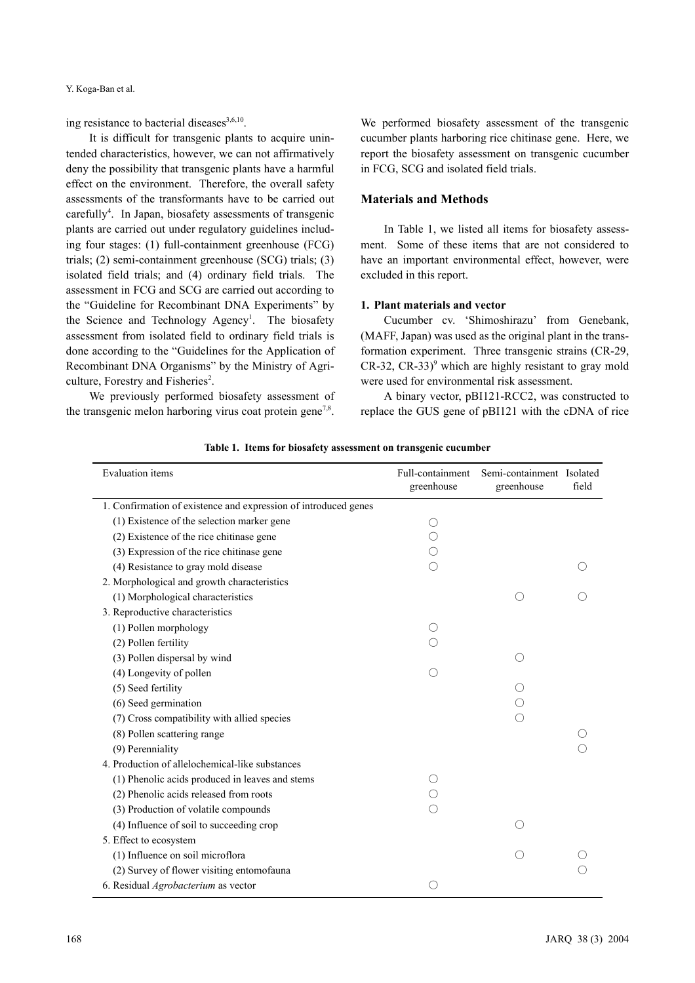ing resistance to bacterial diseases<sup>3,6,10</sup>.

It is difficult for transgenic plants to acquire unintended characteristics, however, we can not affirmatively deny the possibility that transgenic plants have a harmful effect on the environment. Therefore, the overall safety assessments of the transformants have to be carried out carefully<sup>4</sup>. In Japan, biosafety assessments of transgenic plants are carried out under regulatory guidelines including four stages: (1) full-containment greenhouse (FCG) trials; (2) semi-containment greenhouse (SCG) trials; (3) isolated field trials; and (4) ordinary field trials. The assessment in FCG and SCG are carried out according to the "Guideline for Recombinant DNA Experiments" by the Science and Technology Agency<sup>1</sup>. The biosafety assessment from isolated field to ordinary field trials is done according to the "Guidelines for the Application of Recombinant DNA Organisms" by the Ministry of Agriculture, Forestry and Fisheries<sup>2</sup>.

We previously performed biosafety assessment of the transgenic melon harboring virus coat protein gene<sup>7,8</sup>.

We performed biosafety assessment of the transgenic cucumber plants harboring rice chitinase gene. Here, we report the biosafety assessment on transgenic cucumber in FCG, SCG and isolated field trials.

# **Materials and Methods**

In Table 1, we listed all items for biosafety assessment. Some of these items that are not considered to have an important environmental effect, however, were excluded in this report.

### **1. Plant materials and vector**

Cucumber cv. 'Shimoshirazu' from Genebank, (MAFF, Japan) was used as the original plant in the transformation experiment. Three transgenic strains (CR-29,  $CR-32$ ,  $CR-33$ <sup>9</sup> which are highly resistant to gray mold were used for environmental risk assessment.

A binary vector, pBI121-RCC2, was constructed to replace the GUS gene of pBI121 with the cDNA of rice

| <b>Evaluation</b> items                                         | Full-containment<br>greenhouse | Semi-containment Isolated<br>greenhouse | field |
|-----------------------------------------------------------------|--------------------------------|-----------------------------------------|-------|
| 1. Confirmation of existence and expression of introduced genes |                                |                                         |       |
| (1) Existence of the selection marker gene                      | 0                              |                                         |       |
| (2) Existence of the rice chitinase gene                        |                                |                                         |       |
| (3) Expression of the rice chitinase gene                       |                                |                                         |       |
| (4) Resistance to gray mold disease                             |                                |                                         |       |
| 2. Morphological and growth characteristics                     |                                |                                         |       |
| (1) Morphological characteristics                               |                                |                                         |       |
| 3. Reproductive characteristics                                 |                                |                                         |       |
| (1) Pollen morphology                                           |                                |                                         |       |
| (2) Pollen fertility                                            |                                |                                         |       |
| (3) Pollen dispersal by wind                                    |                                |                                         |       |
| (4) Longevity of pollen                                         |                                |                                         |       |
| (5) Seed fertility                                              |                                |                                         |       |
| (6) Seed germination                                            |                                |                                         |       |
| (7) Cross compatibility with allied species                     |                                |                                         |       |
| (8) Pollen scattering range                                     |                                |                                         |       |
| (9) Perenniality                                                |                                |                                         |       |
| 4. Production of allelochemical-like substances                 |                                |                                         |       |
| (1) Phenolic acids produced in leaves and stems                 |                                |                                         |       |
| (2) Phenolic acids released from roots                          |                                |                                         |       |
| (3) Production of volatile compounds                            |                                |                                         |       |
| (4) Influence of soil to succeeding crop                        |                                |                                         |       |
| 5. Effect to ecosystem                                          |                                |                                         |       |
| (1) Influence on soil microflora                                |                                |                                         |       |
| (2) Survey of flower visiting entomofauna                       |                                |                                         |       |
| 6. Residual Agrobacterium as vector                             | ∩                              |                                         |       |

**Table 1. Items for biosafety assessment on transgenic cucumber**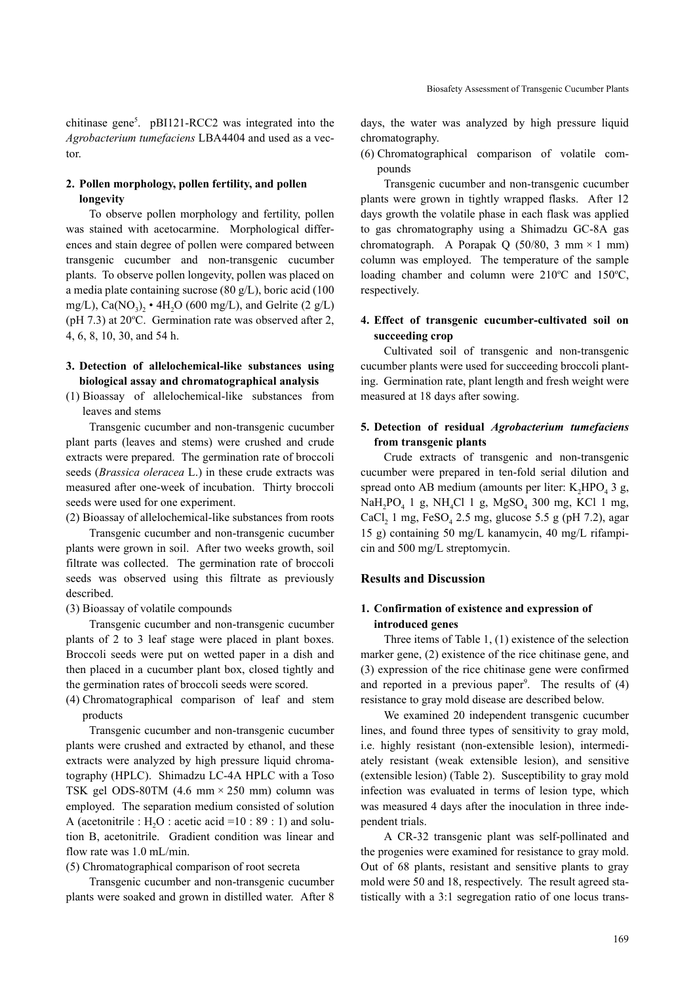chitinase gene<sup>5</sup>. pBI121-RCC2 was integrated into the *Agrobacterium tumefaciens* LBA4404 and used as a vector.

# **2. Pollen morphology, pollen fertility, and pollen longevity**

To observe pollen morphology and fertility, pollen was stained with acetocarmine. Morphological differences and stain degree of pollen were compared between transgenic cucumber and non-transgenic cucumber plants. To observe pollen longevity, pollen was placed on a media plate containing sucrose (80 g/L), boric acid (100 mg/L), Ca(NO<sub>3</sub>),  $\cdot$  4H<sub>2</sub>O (600 mg/L), and Gelrite (2 g/L) (pH 7.3) at 20°C. Germination rate was observed after 2, 4, 6, 8, 10, 30, and 54 h.

# **3. Detection of allelochemical-like substances using biological assay and chromatographical analysis**

(1) Bioassay of allelochemical-like substances from leaves and stems

Transgenic cucumber and non-transgenic cucumber plant parts (leaves and stems) were crushed and crude extracts were prepared. The germination rate of broccoli seeds (*Brassica oleracea* L.) in these crude extracts was measured after one-week of incubation. Thirty broccoli seeds were used for one experiment.

(2) Bioassay of allelochemical-like substances from roots

Transgenic cucumber and non-transgenic cucumber plants were grown in soil. After two weeks growth, soil filtrate was collected. The germination rate of broccoli seeds was observed using this filtrate as previously described.

(3) Bioassay of volatile compounds

Transgenic cucumber and non-transgenic cucumber plants of 2 to 3 leaf stage were placed in plant boxes. Broccoli seeds were put on wetted paper in a dish and then placed in a cucumber plant box, closed tightly and the germination rates of broccoli seeds were scored.

(4) Chromatographical comparison of leaf and stem products

Transgenic cucumber and non-transgenic cucumber plants were crushed and extracted by ethanol, and these extracts were analyzed by high pressure liquid chromatography (HPLC). Shimadzu LC-4A HPLC with a Toso TSK gel ODS-80TM (4.6 mm × 250 mm) column was employed. The separation medium consisted of solution A (acetonitrile :  $H_2O$  : acetic acid =10 : 89 : 1) and solution B, acetonitrile. Gradient condition was linear and flow rate was 1.0 mL/min.

(5) Chromatographical comparison of root secreta

Transgenic cucumber and non-transgenic cucumber plants were soaked and grown in distilled water. After 8 days, the water was analyzed by high pressure liquid chromatography.

(6) Chromatographical comparison of volatile compounds

Transgenic cucumber and non-transgenic cucumber plants were grown in tightly wrapped flasks. After 12 days growth the volatile phase in each flask was applied to gas chromatography using a Shimadzu GC-8A gas chromatograph. A Porapak Q (50/80, 3 mm  $\times$  1 mm) column was employed. The temperature of the sample loading chamber and column were 210°C and 150°C, respectively.

# **4. Effect of transgenic cucumber-cultivated soil on succeeding crop**

Cultivated soil of transgenic and non-transgenic cucumber plants were used for succeeding broccoli planting. Germination rate, plant length and fresh weight were measured at 18 days after sowing.

# **5. Detection of residual** *Agrobacterium tumefaciens* **from transgenic plants**

Crude extracts of transgenic and non-transgenic cucumber were prepared in ten-fold serial dilution and spread onto AB medium (amounts per liter:  $K_2HPO_4$  3 g, NaH<sub>2</sub>PO<sub>4</sub> 1 g, NH<sub>4</sub>Cl 1 g, MgSO<sub>4</sub> 300 mg, KCl 1 mg, CaCl, 1 mg,  $FeSO<sub>4</sub> 2.5$  mg, glucose 5.5 g (pH 7.2), agar 15 g) containing 50 mg/L kanamycin, 40 mg/L rifampicin and 500 mg/L streptomycin.

### **Results and Discussion**

### **1. Confirmation of existence and expression of introduced genes**

Three items of Table 1, (1) existence of the selection marker gene, (2) existence of the rice chitinase gene, and (3) expression of the rice chitinase gene were confirmed and reported in a previous paper<sup>9</sup>. The results of  $(4)$ resistance to gray mold disease are described below.

We examined 20 independent transgenic cucumber lines, and found three types of sensitivity to gray mold, i.e. highly resistant (non-extensible lesion), intermediately resistant (weak extensible lesion), and sensitive (extensible lesion) (Table 2). Susceptibility to gray mold infection was evaluated in terms of lesion type, which was measured 4 days after the inoculation in three independent trials.

A CR-32 transgenic plant was self-pollinated and the progenies were examined for resistance to gray mold. Out of 68 plants, resistant and sensitive plants to gray mold were 50 and 18, respectively. The result agreed statistically with a 3:1 segregation ratio of one locus trans-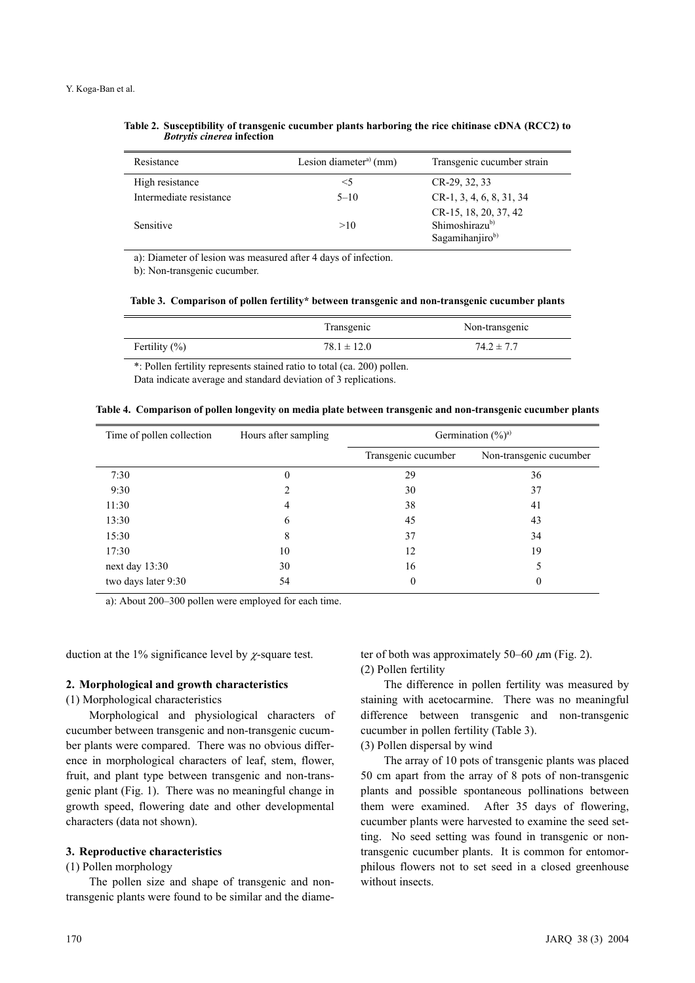| Resistance              | Lesion diameter <sup>a)</sup> (mm) | Transgenic cucumber strain                                             |
|-------------------------|------------------------------------|------------------------------------------------------------------------|
| High resistance         | $\leq 5$                           | CR-29, 32, 33                                                          |
| Intermediate resistance | $5 - 10$                           | $CR-1, 3, 4, 6, 8, 31, 34$                                             |
| Sensitive               | >10                                | CR-15, 18, 20, 37, 42<br>Shimoshirazu <sup>b)</sup><br>Sagamihanjirob) |

**Table 2. Susceptibility of transgenic cucumber plants harboring the rice chitinase cDNA (RCC2) to** *Botrytis cinerea* **infection**

a): Diameter of lesion was measured after 4 days of infection.

b): Non-transgenic cucumber.

|  | Table 3. Comparison of pollen fertility* between transgenic and non-transgenic cucumber plants |  |  |
|--|------------------------------------------------------------------------------------------------|--|--|
|  |                                                                                                |  |  |

|                  | Transgenic      | Non-transgenic |
|------------------|-----------------|----------------|
| Fertility $(\%)$ | $78.1 \pm 12.0$ | $74.2 \pm 7.7$ |
|                  |                 |                |

\*: Pollen fertility represents stained ratio to total (ca. 200) pollen. Data indicate average and standard deviation of 3 replications.

|  |  |  | Table 4. Comparison of pollen longevity on media plate between transgenic and non-transgenic cucumber plants |  |
|--|--|--|--------------------------------------------------------------------------------------------------------------|--|
|  |  |  |                                                                                                              |  |
|  |  |  |                                                                                                              |  |
|  |  |  |                                                                                                              |  |

| Time of pollen collection | Hours after sampling | Germination $(\frac{9}{0})^a$ |                         |  |
|---------------------------|----------------------|-------------------------------|-------------------------|--|
|                           |                      | Transgenic cucumber           | Non-transgenic cucumber |  |
| 7:30                      | 0                    | 29                            | 36                      |  |
| 9:30                      |                      | 30                            | 37                      |  |
| 11:30                     | 4                    | 38                            | 41                      |  |
| 13:30                     | 6                    | 45                            | 43                      |  |
| 15:30                     | 8                    | 37                            | 34                      |  |
| 17:30                     | 10                   | 12                            | 19                      |  |
| next day $13:30$          | 30                   | 16                            |                         |  |
| two days later 9:30       | 54                   | 0                             | 0                       |  |

a): About 200–300 pollen were employed for each time.

duction at the 1% significance level by  $\chi$ -square test.

#### **2. Morphological and growth characteristics**

(1) Morphological characteristics

Morphological and physiological characters of cucumber between transgenic and non-transgenic cucumber plants were compared. There was no obvious difference in morphological characters of leaf, stem, flower, fruit, and plant type between transgenic and non-transgenic plant (Fig. 1). There was no meaningful change in growth speed, flowering date and other developmental characters (data not shown).

### **3. Reproductive characteristics**

(1) Pollen morphology

The pollen size and shape of transgenic and nontransgenic plants were found to be similar and the diameter of both was approximately 50–60  $\mu$ m (Fig. 2). (2) Pollen fertility

The difference in pollen fertility was measured by staining with acetocarmine. There was no meaningful difference between transgenic and non-transgenic cucumber in pollen fertility (Table 3).

(3) Pollen dispersal by wind

The array of 10 pots of transgenic plants was placed 50 cm apart from the array of 8 pots of non-transgenic plants and possible spontaneous pollinations between them were examined. After 35 days of flowering, cucumber plants were harvested to examine the seed setting. No seed setting was found in transgenic or nontransgenic cucumber plants. It is common for entomorphilous flowers not to set seed in a closed greenhouse without insects.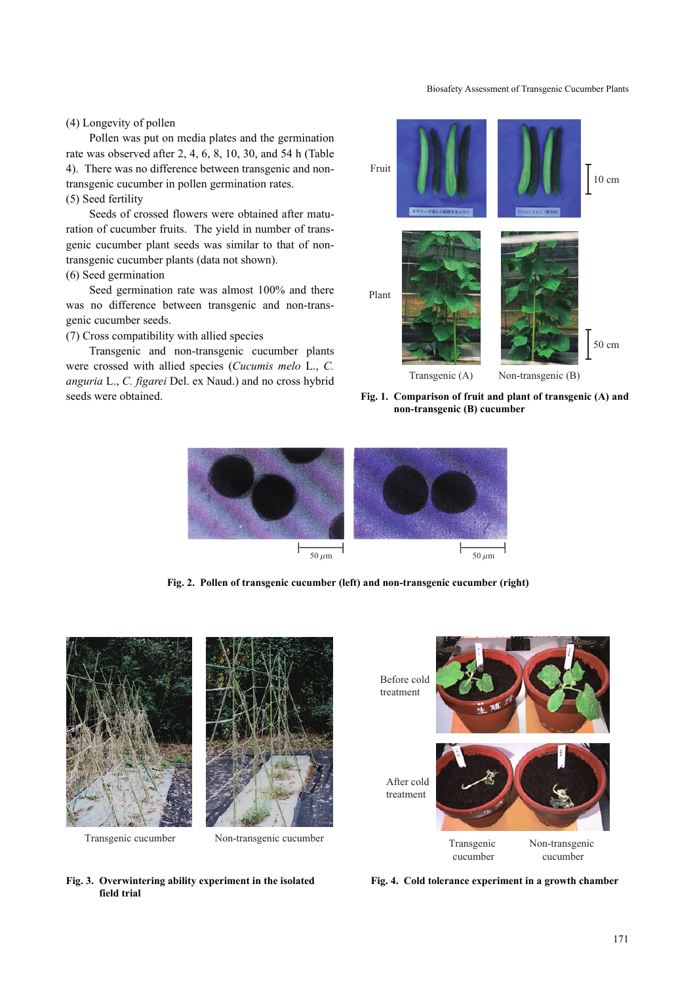Biosafety Assessment of Transgenic Cucumber Plants

# (4) Longevity of pollen

Pollen was put on media plates and the germination rate was observed after 2, 4, 6, 8, 10, 30, and 54 h (Table 4). There was no difference between transgenic and nontransgenic cucumber in pollen germination rates. (5) Seed fertility

Seeds of crossed flowers were obtained after maturation of cucumber fruits. The yield in number of transgenic cucumber plant seeds was similar to that of nontransgenic cucumber plants (data not shown).

# (6) Seed germination

Seed germination rate was almost 100% and there was no difference between transgenic and non-transgenic cucumber seeds.

(7) Cross compatibility with allied species

Transgenic and non-transgenic cucumber plants were crossed with allied species (*Cucumis melo* L., *C. anguria* L., *C. figarei* Del. ex Naud.) and no cross hybrid seeds were obtained.



**Fig. 1. Comparison of fruit and plant of transgenic (A) and non-transgenic (B) cucumber**



**Fig. 2. Pollen of transgenic cucumber (left) and non-transgenic cucumber (right)**







**Fig. 3. Overwintering ability experiment in the isolated field trial**

**Fig. 4. Cold tolerance experiment in a growth chamber**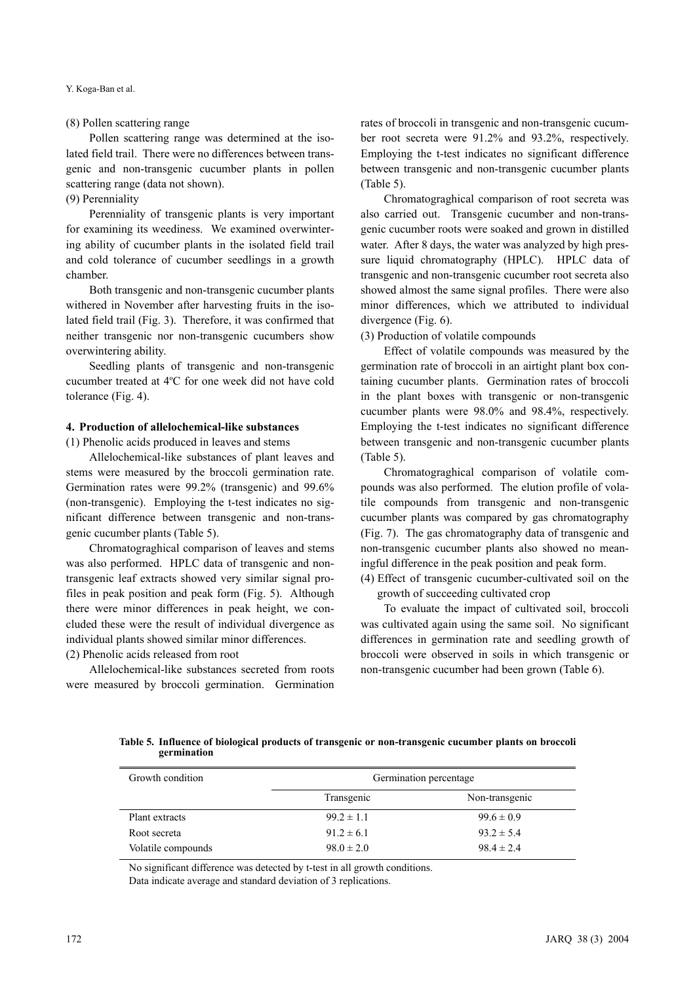Y. Koga-Ban et al.

### (8) Pollen scattering range

Pollen scattering range was determined at the isolated field trail. There were no differences between transgenic and non-transgenic cucumber plants in pollen scattering range (data not shown).

# (9) Perenniality

Perenniality of transgenic plants is very important for examining its weediness. We examined overwintering ability of cucumber plants in the isolated field trail and cold tolerance of cucumber seedlings in a growth chamber.

Both transgenic and non-transgenic cucumber plants withered in November after harvesting fruits in the isolated field trail (Fig. 3). Therefore, it was confirmed that neither transgenic nor non-transgenic cucumbers show overwintering ability.

Seedling plants of transgenic and non-transgenic cucumber treated at 4°C for one week did not have cold tolerance (Fig. 4).

### **4. Production of allelochemical-like substances**

(1) Phenolic acids produced in leaves and stems

Allelochemical-like substances of plant leaves and stems were measured by the broccoli germination rate. Germination rates were 99.2% (transgenic) and 99.6% (non-transgenic). Employing the t-test indicates no significant difference between transgenic and non-transgenic cucumber plants (Table 5).

Chromatograghical comparison of leaves and stems was also performed. HPLC data of transgenic and nontransgenic leaf extracts showed very similar signal profiles in peak position and peak form (Fig. 5). Although there were minor differences in peak height, we concluded these were the result of individual divergence as individual plants showed similar minor differences.

(2) Phenolic acids released from root

Allelochemical-like substances secreted from roots were measured by broccoli germination. Germination rates of broccoli in transgenic and non-transgenic cucumber root secreta were 91.2% and 93.2%, respectively. Employing the t-test indicates no significant difference between transgenic and non-transgenic cucumber plants (Table 5).

Chromatograghical comparison of root secreta was also carried out. Transgenic cucumber and non-transgenic cucumber roots were soaked and grown in distilled water. After 8 days, the water was analyzed by high pressure liquid chromatography (HPLC). HPLC data of transgenic and non-transgenic cucumber root secreta also showed almost the same signal profiles. There were also minor differences, which we attributed to individual divergence (Fig. 6).

(3) Production of volatile compounds

Effect of volatile compounds was measured by the germination rate of broccoli in an airtight plant box containing cucumber plants. Germination rates of broccoli in the plant boxes with transgenic or non-transgenic cucumber plants were 98.0% and 98.4%, respectively. Employing the t-test indicates no significant difference between transgenic and non-transgenic cucumber plants (Table 5).

Chromatograghical comparison of volatile compounds was also performed. The elution profile of volatile compounds from transgenic and non-transgenic cucumber plants was compared by gas chromatography (Fig. 7). The gas chromatography data of transgenic and non-transgenic cucumber plants also showed no meaningful difference in the peak position and peak form.

(4) Effect of transgenic cucumber-cultivated soil on the growth of succeeding cultivated crop

To evaluate the impact of cultivated soil, broccoli was cultivated again using the same soil. No significant differences in germination rate and seedling growth of broccoli were observed in soils in which transgenic or non-transgenic cucumber had been grown (Table 6).

**Table 5. Influence of biological products of transgenic or non-transgenic cucumber plants on broccoli germination**

| Growth condition   | Germination percentage |                |  |
|--------------------|------------------------|----------------|--|
|                    | Transgenic             | Non-transgenic |  |
| Plant extracts     | $99.2 \pm 1.1$         | $99.6 \pm 0.9$ |  |
| Root secreta       | $91.2 \pm 6.1$         | $93.2 \pm 5.4$ |  |
| Volatile compounds | $98.0 \pm 2.0$         | $98.4 \pm 2.4$ |  |

No significant difference was detected by t-test in all growth conditions. Data indicate average and standard deviation of 3 replications.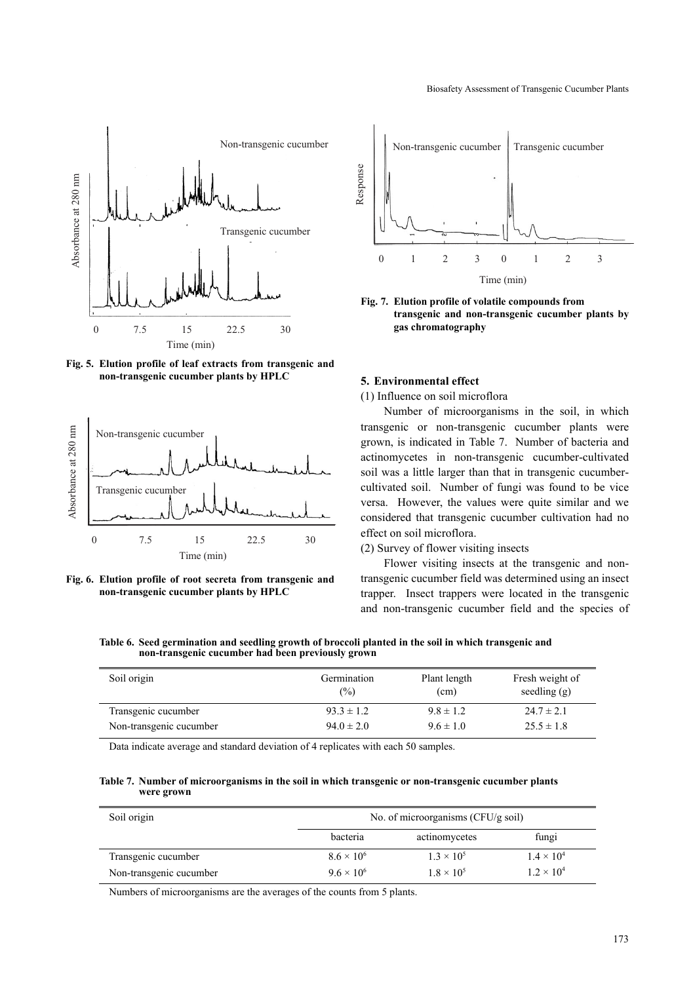

**Fig. 5. Elution profile of leaf extracts from transgenic and non-transgenic cucumber plants by HPLC**



**Fig. 6. Elution profile of root secreta from transgenic and non-transgenic cucumber plants by HPLC**



**Fig. 7. Elution profile of volatile compounds from transgenic and non-transgenic cucumber plants by gas chromatography**

### **5. Environmental effect**

(1) Influence on soil microflora

Number of microorganisms in the soil, in which transgenic or non-transgenic cucumber plants were grown, is indicated in Table 7. Number of bacteria and actinomycetes in non-transgenic cucumber-cultivated soil was a little larger than that in transgenic cucumbercultivated soil. Number of fungi was found to be vice versa. However, the values were quite similar and we considered that transgenic cucumber cultivation had no effect on soil microflora.

(2) Survey of flower visiting insects

Flower visiting insects at the transgenic and nontransgenic cucumber field was determined using an insect trapper. Insect trappers were located in the transgenic and non-transgenic cucumber field and the species of

**Table 6. Seed germination and seedling growth of broccoli planted in the soil in which transgenic and non-transgenic cucumber had been previously grown**

| Soil origin             | Germination<br>(%) | Plant length<br>(cm) | Fresh weight of<br>seedling $(g)$ |
|-------------------------|--------------------|----------------------|-----------------------------------|
| Transgenic cucumber     | $93.3 \pm 1.2$     | $9.8 \pm 1.2$        | $24.7 \pm 2.1$                    |
| Non-transgenic cucumber | $94.0 \pm 2.0$     | $9.6 \pm 1.0$        | $25.5 \pm 1.8$                    |

Data indicate average and standard deviation of 4 replicates with each 50 samples.

**Table 7. Number of microorganisms in the soil in which transgenic or non-transgenic cucumber plants were grown**

| Soil origin             |                     | No. of microorganisms (CFU/g soil) |                     |  |  |
|-------------------------|---------------------|------------------------------------|---------------------|--|--|
|                         | bacteria            | actinomycetes                      | fungi               |  |  |
| Transgenic cucumber     | $8.6 \times 10^{6}$ | $1.3 \times 10^{5}$                | $1.4 \times 10^{4}$ |  |  |
| Non-transgenic cucumber | $9.6 \times 10^{6}$ | $1.8 \times 10^{5}$                | $1.2 \times 10^{4}$ |  |  |

Numbers of microorganisms are the averages of the counts from 5 plants.